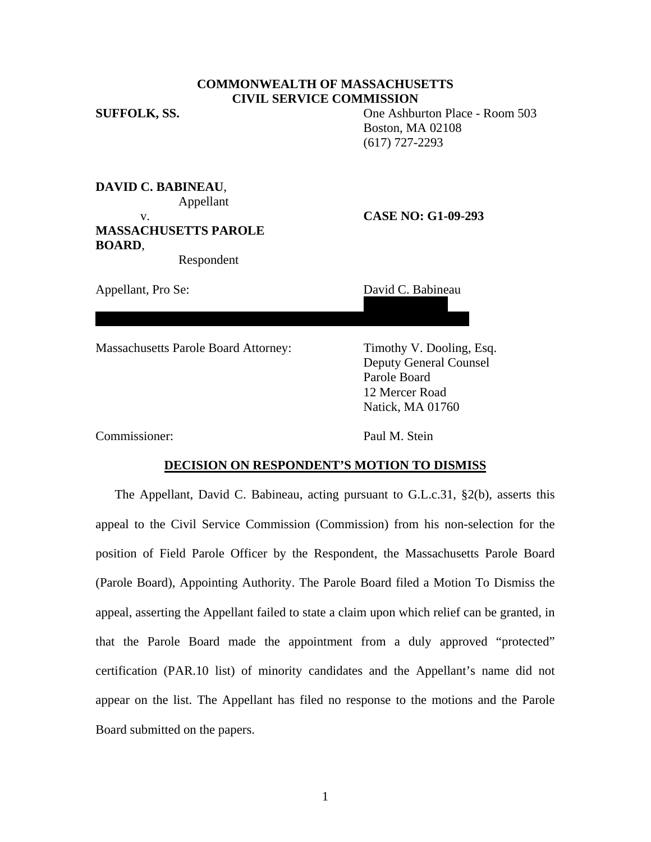# **COMMONWEALTH OF MASSACHUSETTS CIVIL SERVICE COMMISSION**

**SUFFOLK, SS.** One Ashburton Place - Room 503 Boston, MA 02108 (617) 727-2293

**DAVID C. BABINEAU**, Appellant **MASSACHUSETTS PAROLE BOARD**,

Respondent

Appellant, Pro Se: David C. Babineau

### v. **CASE NO: G1-09-293**

 36 French Street Billerica, MA 01821

Massachusetts Parole Board Attorney: Timothy V. Dooling, Esq.

 Deputy General Counsel Parole Board 12 Mercer Road Natick, MA 01760

Commissioner: Paul M. Stein

### **DECISION ON RESPONDENT'S MOTION TO DISMISS**

The Appellant, David C. Babineau, acting pursuant to G.L.c.31, §2(b), asserts this appeal to the Civil Service Commission (Commission) from his non-selection for the position of Field Parole Officer by the Respondent, the Massachusetts Parole Board (Parole Board), Appointing Authority. The Parole Board filed a Motion To Dismiss the appeal, asserting the Appellant failed to state a claim upon which relief can be granted, in that the Parole Board made the appointment from a duly approved "protected" certification (PAR.10 list) of minority candidates and the Appellant's name did not appear on the list. The Appellant has filed no response to the motions and the Parole Board submitted on the papers.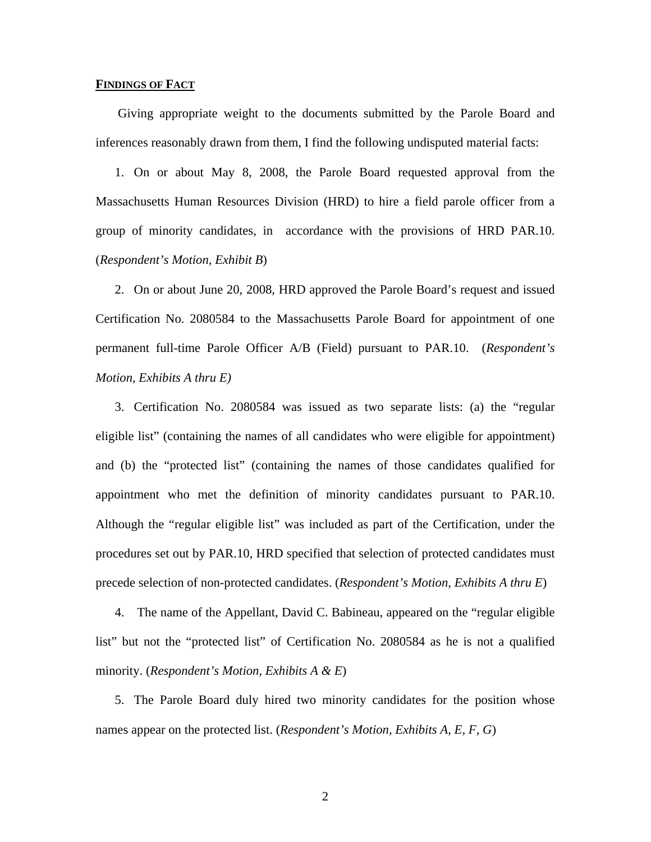# **FINDINGS OF FACT**

 Giving appropriate weight to the documents submitted by the Parole Board and inferences reasonably drawn from them, I find the following undisputed material facts:

1. On or about May 8, 2008, the Parole Board requested approval from the Massachusetts Human Resources Division (HRD) to hire a field parole officer from a group of minority candidates, in accordance with the provisions of HRD PAR.10. (*Respondent's Motion, Exhibit B*)

2. On or about June 20, 2008, HRD approved the Parole Board's request and issued Certification No. 2080584 to the Massachusetts Parole Board for appointment of one permanent full-time Parole Officer A/B (Field) pursuant to PAR.10. (*Respondent's Motion, Exhibits A thru E)*

3. Certification No. 2080584 was issued as two separate lists: (a) the "regular eligible list" (containing the names of all candidates who were eligible for appointment) and (b) the "protected list" (containing the names of those candidates qualified for appointment who met the definition of minority candidates pursuant to PAR.10. Although the "regular eligible list" was included as part of the Certification, under the procedures set out by PAR.10, HRD specified that selection of protected candidates must precede selection of non-protected candidates. (*Respondent's Motion, Exhibits A thru E*)

4. The name of the Appellant, David C. Babineau, appeared on the "regular eligible list" but not the "protected list" of Certification No. 2080584 as he is not a qualified minority. (*Respondent's Motion, Exhibits A & E*)

5. The Parole Board duly hired two minority candidates for the position whose names appear on the protected list. (*Respondent's Motion, Exhibits A, E, F, G*)

2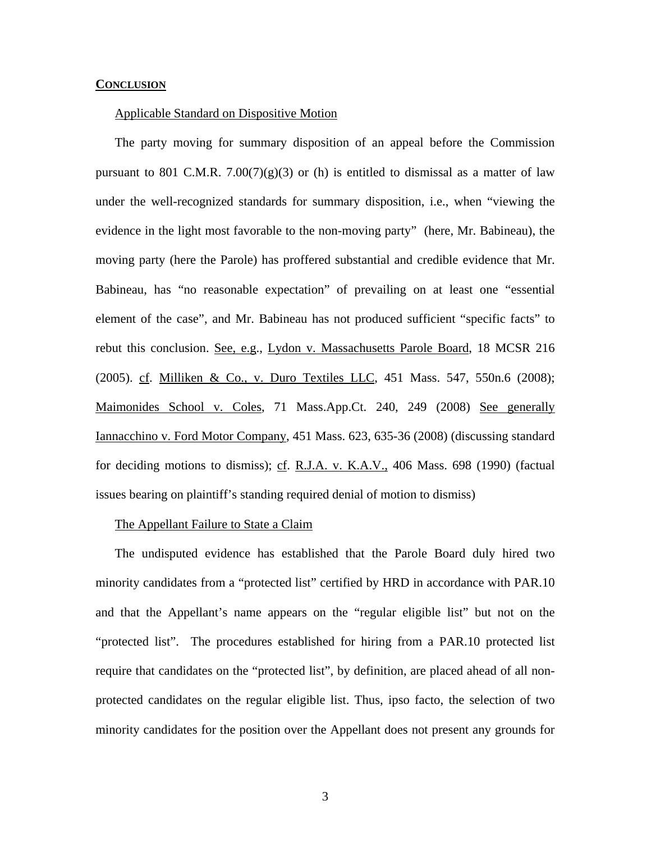#### **CONCLUSION**

### Applicable Standard on Dispositive Motion

The party moving for summary disposition of an appeal before the Commission pursuant to 801 C.M.R. 7.00(7)(g)(3) or (h) is entitled to dismissal as a matter of law under the well-recognized standards for summary disposition, i.e., when "viewing the evidence in the light most favorable to the non-moving party" (here, Mr. Babineau), the moving party (here the Parole) has proffered substantial and credible evidence that Mr. Babineau, has "no reasonable expectation" of prevailing on at least one "essential element of the case", and Mr. Babineau has not produced sufficient "specific facts" to rebut this conclusion. See, e.g., Lydon v. Massachusetts Parole Board, 18 MCSR 216 (2005). cf. Milliken & Co., v. Duro Textiles LLC, 451 Mass. 547, 550n.6 (2008); Maimonides School v. Coles, 71 Mass.App.Ct. 240, 249 (2008) See generally Iannacchino v. Ford Motor Company, 451 Mass. 623, 635-36 (2008) (discussing standard for deciding motions to dismiss); cf. R.J.A. v. K.A.V., 406 Mass. 698 (1990) (factual issues bearing on plaintiff's standing required denial of motion to dismiss)

# The Appellant Failure to State a Claim

The undisputed evidence has established that the Parole Board duly hired two minority candidates from a "protected list" certified by HRD in accordance with PAR.10 and that the Appellant's name appears on the "regular eligible list" but not on the "protected list". The procedures established for hiring from a PAR.10 protected list require that candidates on the "protected list", by definition, are placed ahead of all nonprotected candidates on the regular eligible list. Thus, ipso facto, the selection of two minority candidates for the position over the Appellant does not present any grounds for